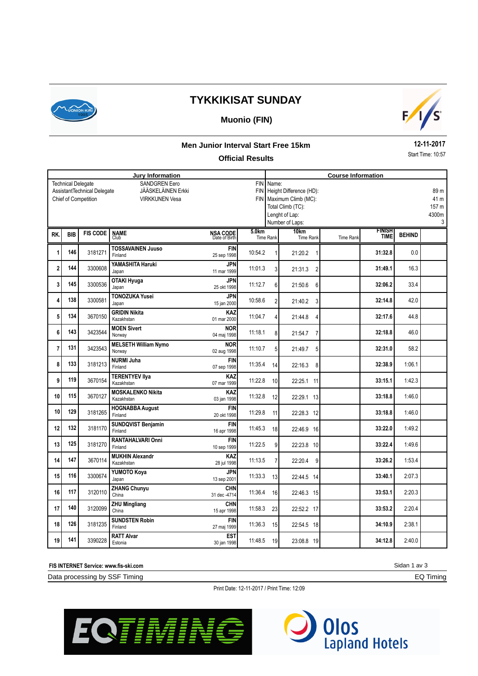

# **TYKKIKISAT SUNDAY**

## **Muonio (FIN)**



#### **Men Junior Interval Start Free 15km**

#### **Official Results**

**12-11-2017** Start Time: 10:57

| <b>Jury Information</b>                                                                                                                                        |            |                 |                                        |                                  |                   |                                                                                                                           | <b>Course Information</b> |                  |                              |               |                                     |  |  |
|----------------------------------------------------------------------------------------------------------------------------------------------------------------|------------|-----------------|----------------------------------------|----------------------------------|-------------------|---------------------------------------------------------------------------------------------------------------------------|---------------------------|------------------|------------------------------|---------------|-------------------------------------|--|--|
| <b>SANDGREN Eero</b><br><b>Technical Delegate</b><br>AssistantTechnical Delegate<br>JÄÄSKELÄINEN Erkki<br><b>Chief of Competition</b><br><b>VIRKKUNEN Vesa</b> |            |                 |                                        |                                  | <b>FIN</b>        | FIN Name:<br>Height Difference (HD):<br>FIN Maximum Climb (MC):<br>Total Climb (TC):<br>Lenght of Lap:<br>Number of Laps: |                           |                  |                              |               | 89 m<br>41 m<br>157 m<br>4300m<br>3 |  |  |
| RK.                                                                                                                                                            | <b>BIB</b> | <b>FIS CODE</b> | <b>NAME</b><br>Club                    | <b>NSA CODE</b><br>Date of Birth | 5.0 <sub>km</sub> | <b>Time Rank</b>                                                                                                          | 10km<br><b>Time Rank</b>  | <b>Time Rank</b> | <b>FINISH</b><br><b>TIME</b> | <b>BEHIND</b> |                                     |  |  |
| 1                                                                                                                                                              | 146        | 3181271         | <b>TOSSAVAINEN Juuso</b><br>Finland    | <b>FIN</b><br>25 sep 1998        | 10:54.2           |                                                                                                                           | 21:20.2<br>1              |                  | 31:32.8                      | 0.0           |                                     |  |  |
| $\overline{2}$                                                                                                                                                 | 144        | 3300608         | YAMASHITA Haruki<br>Japan              | <b>JPN</b><br>11 mar 1999        | 11:01.3           | $\overline{3}$                                                                                                            | 21:31.3<br>2              |                  | 31:49.1                      | 16.3          |                                     |  |  |
| 3                                                                                                                                                              | 145        | 3300536         | <b>OTAKI Hyuga</b><br>Japan            | <b>JPN</b><br>25 okt 1998        | 11:12.7           | 6                                                                                                                         | 21:50.6<br>6              |                  | 32:06.2                      | 33.4          |                                     |  |  |
| 4                                                                                                                                                              | 138        | 3300581         | <b>TONOZUKA Yusei</b><br>Japan         | <b>JPN</b><br>15 jan 2000        | 10:58.6           | $\overline{2}$                                                                                                            | 21:40.2<br>3              |                  | 32:14.8                      | 42.0          |                                     |  |  |
| 5                                                                                                                                                              | 134        | 3670150         | <b>GRIDIN Nikita</b><br>Kazakhstan     | <b>KAZ</b><br>01 mar 2000        | 11:04.7           | 4                                                                                                                         | 21:44.8<br>4              |                  | 32:17.6                      | 44.8          |                                     |  |  |
| 6                                                                                                                                                              | 143        | 3423544         | <b>MOEN Sivert</b><br>Norway           | <b>NOR</b><br>04 maj 1998        | 11:18.1           | 8                                                                                                                         | 21:54.7<br>7              |                  | 32:18.8                      | 46.0          |                                     |  |  |
| $\overline{7}$                                                                                                                                                 | 131        | 3423543         | <b>MELSETH William Nymo</b><br>Norway  | <b>NOR</b><br>02 aug 1998        | 11:10.7           | 5                                                                                                                         | 21:49.7<br>5              |                  | 32:31.0                      | 58.2          |                                     |  |  |
| 8                                                                                                                                                              | 133        | 3181213         | <b>NURMI Juha</b><br>Finland           | <b>FIN</b><br>07 sep 1998        | 11:35.4           | 14                                                                                                                        | 22:16.3<br>8              |                  | 32:38.9                      | 1:06.1        |                                     |  |  |
| 9                                                                                                                                                              | 119        | 3670154         | <b>TERENTYEV IIya</b><br>Kazakhstan    | KAZ<br>07 mar 1999               | 11:22.8           | 10                                                                                                                        | 22:25.1 11                |                  | 33:15.1                      | 1:42.3        |                                     |  |  |
| 10                                                                                                                                                             | 115        | 3670127         | <b>MOSKALENKO Nikita</b><br>Kazakhstan | KAZ<br>03 jan 1998               | 11:32.8           | 12                                                                                                                        | 22:29.1 13                |                  | 33:18.8                      | 1:46.0        |                                     |  |  |
| 10                                                                                                                                                             | 129        | 3181265         | <b>HOGNABBA August</b><br>Finland      | <b>FIN</b><br>20 okt 1998        | 11:29.8           | 11                                                                                                                        | 22:28.3 12                |                  | 33:18.8                      | 1:46.0        |                                     |  |  |
| 12                                                                                                                                                             | 132        | 3181170         | <b>SUNDQVIST Benjamin</b><br>Finland   | <b>FIN</b><br>16 apr 1998        | 11:45.3           | 18                                                                                                                        | 22:46.9 16                |                  | 33:22.0                      | 1:49.2        |                                     |  |  |
| 13                                                                                                                                                             | 125        | 3181270         | <b>RANTAHALVARI Onni</b><br>Finland    | <b>FIN</b><br>10 sep 1999        | 11:22.5           | 9                                                                                                                         | 22:23.8 10                |                  | 33:22.4                      | 1:49.6        |                                     |  |  |
| 14                                                                                                                                                             | 147        | 3670114         | <b>MUKHIN Alexandr</b><br>Kazakhstan   | KAZ<br>28 iul 1998               | 11:13.5           | $\overline{7}$                                                                                                            | 22:20.4<br>9              |                  | 33:26.2                      | 1:53.4        |                                     |  |  |
| 15                                                                                                                                                             | 116        | 3300674         | YUMOTO Koya<br>Japan                   | <b>JPN</b><br>13 sep 2001        | 11:33.3           | 13                                                                                                                        | 22:44.5 14                |                  | 33:40.1                      | 2:07.3        |                                     |  |  |
| 16                                                                                                                                                             | 117        | 3120110         | <b>ZHANG Chunyu</b><br>China           | CHN<br>31 dec -4714              | 11:36.4           | 16                                                                                                                        | 22:46.3 15                |                  | 33:53.1                      | 2:20.3        |                                     |  |  |
| 17                                                                                                                                                             | 140        | 3120099         | <b>ZHU Mingliang</b><br>China          | <b>CHN</b><br>15 apr 1998        | 11:58.3           | 23                                                                                                                        | 22:52.2 17                |                  | 33:53.2                      | 2:20.4        |                                     |  |  |
| 18                                                                                                                                                             | 126        | 3181235         | <b>SUNDSTEN Robin</b><br>Finland       | <b>FIN</b><br>27 maj 1999        | 11:36.3           | 15                                                                                                                        | 22:54.5 18                |                  | 34:10.9                      | 2:38.1        |                                     |  |  |
| 19                                                                                                                                                             | 141        | 3390228         | <b>RATT Alvar</b><br>Estonia           | <b>EST</b><br>30 jan 1998        | 11:48.5           | 19                                                                                                                        | 23:08.8 19                |                  | 34:12.8                      | 2:40.0        |                                     |  |  |

**FIS INTERNET Service: www.fis-ski.com**

Data processing by SSF Timing

Print Date: 12-11-2017 / Print Time: 12:09





Sidan 1 av 3 EQ Timing

**10**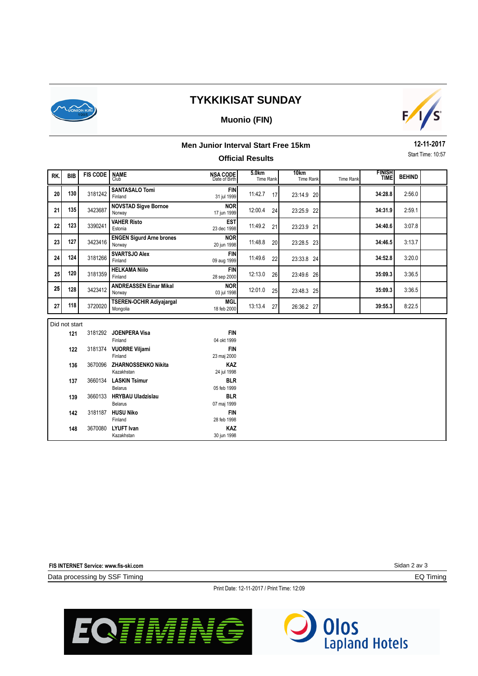

## **TYKKIKISAT SUNDAY**

### **Muonio (FIN)**



#### **Men Junior Interval Start Free 15km**

### **Official Results**

**12-11-2017** Start Time: 10:57

| RK. | <b>BIB</b>     | <b>FIS CODE</b> | <b>NAME</b><br>Club                         | NSA CODE<br>Date of Birth | 5.0 <sub>km</sub><br><b>Time Rank</b> | 10km<br><b>Time Rank</b> | <b>Time Rank</b> | <b>FINISH<br/>TIME</b> | <b>BEHIND</b> |  |
|-----|----------------|-----------------|---------------------------------------------|---------------------------|---------------------------------------|--------------------------|------------------|------------------------|---------------|--|
| 20  | 130            | 3181242         | <b>SANTASALO Tomi</b><br>Finland            | <b>FIN</b><br>31 jul 1999 | 11:42.7<br>17                         | 23:14.9 20               |                  | 34:28.8                | 2:56.0        |  |
| 21  | 135            | 3423687         | <b>NOVSTAD Sigve Bornoe</b><br>Norway       | <b>NOR</b><br>17 jun 1999 | 12:00.4<br>24                         | 23:25.9 22               |                  | 34:31.9                | 2:59.1        |  |
| 22  | 123            | 3390241         | <b>VAHER Risto</b><br>Estonia               | <b>EST</b><br>23 dec 1998 | 11:49.2<br>21                         | 23:23.9 21               |                  | 34:40.6                | 3:07.8        |  |
| 23  | 127            | 3423416         | <b>ENGEN Sigurd Arne brones</b><br>Norway   | <b>NOR</b><br>20 jun 1998 | 11:48.8<br>20                         | 23:28.5 23               |                  | 34:46.5                | 3:13.7        |  |
| 24  | 124            | 3181266         | <b>SVARTSJO Alex</b><br>Finland             | <b>FIN</b><br>09 aug 1999 | 11:49.6<br>22                         | 23:33.8 24               |                  | 34:52.8                | 3:20.0        |  |
| 25  | 120            | 3181359         | <b>HELKAMA Niilo</b><br>Finland             | <b>FIN</b><br>28 sep 2000 | 12:13.0<br>26                         | 23:49.6 26               |                  | 35:09.3                | 3:36.5        |  |
| 25  | 128            | 3423412         | <b>ANDREASSEN Einar Mikal</b><br>Norway     | <b>NOR</b><br>03 jul 1998 | 12:01.0<br>25                         | 23:48.3 25               |                  | 35:09.3                | 3:36.5        |  |
| 27  | 118            | 3720020         | <b>TSEREN-OCHIR Adivajargal</b><br>Mongolia | <b>MGL</b><br>18 feb 2000 | 13:13.4<br>27                         | 26:36.2 27               |                  | 39:55.3                | 8:22.5        |  |
|     | Did not start  |                 |                                             |                           |                                       |                          |                  |                        |               |  |
|     | 121            | 3181292         | <b>JOENPERA Visa</b><br>Finland             | <b>FIN</b><br>04 okt 1999 |                                       |                          |                  |                        |               |  |
|     | 3181374<br>122 |                 | <b>VUORRE Viljami</b><br>Finland            | <b>FIN</b><br>23 maj 2000 |                                       |                          |                  |                        |               |  |
|     | 3670096<br>136 |                 | ZHARNOSSENKO Nikita<br>Kazakhstan           | <b>KAZ</b><br>24 jul 1998 |                                       |                          |                  |                        |               |  |
|     | 137            |                 | 3660134 LASKIN Tsimur<br><b>Belarus</b>     | <b>BLR</b><br>05 feb 1999 |                                       |                          |                  |                        |               |  |
|     | 139            | 3660133         | <b>HRYBAU Uladzislau</b><br><b>Belarus</b>  | <b>BLR</b><br>07 maj 1999 |                                       |                          |                  |                        |               |  |
|     | 142            |                 | 3181187 HUSU Niko<br>Finland                | <b>FIN</b><br>28 feb 1998 |                                       |                          |                  |                        |               |  |
|     | 3670080<br>148 |                 | <b>LYUFT</b> Ivan<br>Kazakhstan             | <b>KAZ</b><br>30 jun 1998 |                                       |                          |                  |                        |               |  |

**FIS INTERNET Service: www.fis-ski.com**

Data processing by SSF Timing

Sidan 2 av 3

EQ Timing

Print Date: 12-11-2017 / Print Time: 12:09